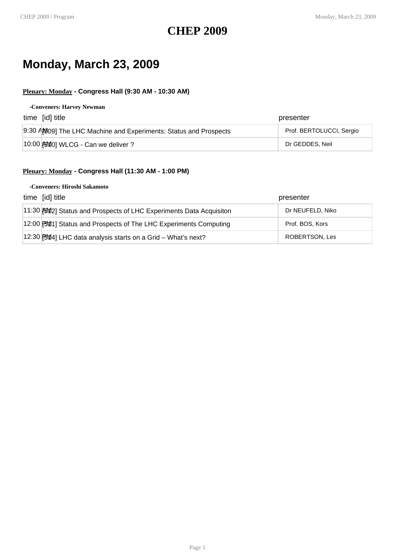### **CHEP 2009**

### **Monday, March 23, 2009**

#### **Plenary: Monday - Congress Hall (9:30 AM - 10:30 AM)**

#### **-Conveners: Harvey Newman**

| time [id] title                                                   | presenter                |
|-------------------------------------------------------------------|--------------------------|
| 9:30 AM:09] The LHC Machine and Experiments: Status and Prospects | Prof. BERTOLUCCI, Sergio |
| $ 10:00 $ $ \frac{10}{20} $ WLCG - Can we deliver ?               | Dr GEDDES, Neil          |

#### **Plenary: Monday - Congress Hall (11:30 AM - 1:00 PM)**

#### **-Conveners: Hiroshi Sakamoto**

| time [id] title                                                    | presenter        |
|--------------------------------------------------------------------|------------------|
| 11:30 例 2] Status and Prospects of LHC Experiments Data Acquisiton | Dr NEUFELD, Niko |
| 12:00 [PM1] Status and Prospects of The LHC Experiments Computing  | Prof. BOS, Kors  |
| 12:30 [90][4] LHC data analysis starts on a Grid - What's next?    | ROBERTSON, Les   |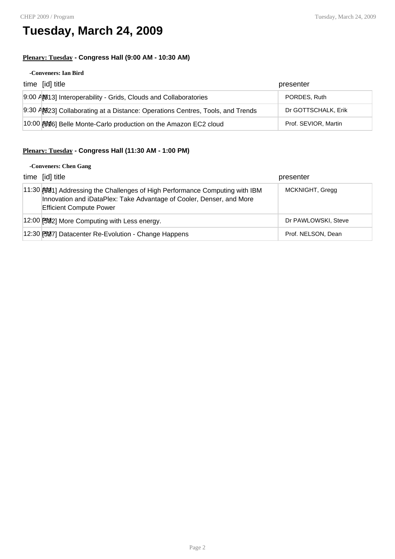### **Tuesday, March 24, 2009**

#### **Plenary: Tuesday - Congress Hall (9:00 AM - 10:30 AM)**

#### **-Conveners: Ian Bird**

| time [id] title                                                               | presenter            |
|-------------------------------------------------------------------------------|----------------------|
| 9:00 AM13] Interoperability - Grids, Clouds and Collaboratories               | PORDES, Ruth         |
| 9:30 AM23] Collaborating at a Distance: Operations Centres, Tools, and Trends | Dr GOTTSCHALK, Erik  |
| 10:00 \$10 Belle Monte-Carlo production on the Amazon EC2 cloud               | Prof. SEVIOR, Martin |

#### **Plenary: Tuesday - Congress Hall (11:30 AM - 1:00 PM)**

#### **-Conveners: Chen Gang**

| time [id] title                                                                                                                                                                               | presenter           |
|-----------------------------------------------------------------------------------------------------------------------------------------------------------------------------------------------|---------------------|
| 11:30 <b>[591]</b> Addressing the Challenges of High Performance Computing with IBM<br>Innovation and iDataPlex: Take Advantage of Cooler, Denser, and More<br><b>Efficient Compute Power</b> | MCKNIGHT, Grega     |
| 12:00 [5982] More Computing with Less energy.                                                                                                                                                 | Dr PAWLOWSKI, Steve |
| 12:30 [9927] Datacenter Re-Evolution - Change Happens                                                                                                                                         | Prof. NELSON, Dean  |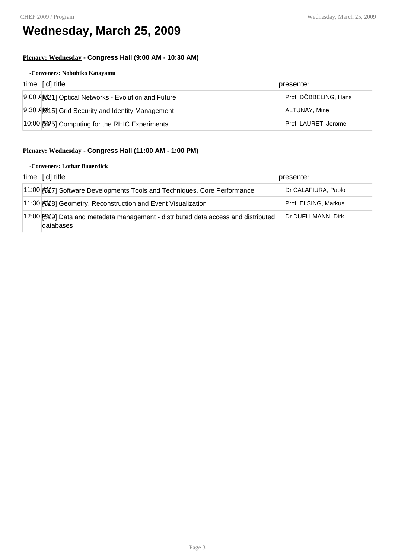## **Wednesday, March 25, 2009**

#### **Plenary: Wednesday - Congress Hall (9:00 AM - 10:30 AM)**

#### **-Conveners: Nobuhiko Katayamu**

| time [id] title                                     | presenter             |
|-----------------------------------------------------|-----------------------|
| 9:00 AM921] Optical Networks - Evolution and Future | Prof. DÖBBELING, Hans |
| 9:30 AM 15] Grid Security and Identity Management   | ALTUNAY, Mine         |
| 10:00 \$25] Computing for the RHIC Experiments      | Prof. LAURET, Jerome  |

### **Plenary: Wednesday - Congress Hall (11:00 AM - 1:00 PM)**

#### **-Conveners: Lothar Bauerdick**

| time [id] title                                                                                | presenter            |
|------------------------------------------------------------------------------------------------|----------------------|
| 11:00 [60] [50] Software Developments Tools and Techniques, Core Performance                   | Dr CALAFIURA, Paolo  |
| 11:30 [50] Geometry, Reconstruction and Event Visualization                                    | Prof. ELSING, Markus |
| 12:00 PM9] Data and metadata management - distributed data access and distributed<br>databases | Dr DUELLMANN, Dirk   |